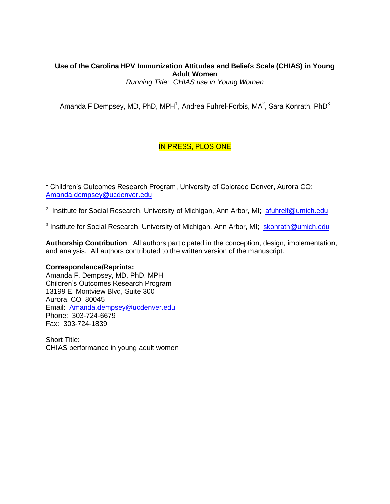# **Use of the Carolina HPV Immunization Attitudes and Beliefs Scale (CHIAS) in Young Adult Women**

*Running Title: CHIAS use in Young Women*

Amanda F Dempsey, MD, PhD, MPH<sup>1</sup>, Andrea Fuhrel-Forbis, MA<sup>2</sup>, Sara Konrath, PhD<sup>3</sup>

# IN PRESS, PLOS ONE

<sup>1</sup> Children's Outcomes Research Program, University of Colorado Denver, Aurora CO; [Amanda.dempsey@ucdenver.edu](mailto:Amanda.dempsey@ucdenver.edu)

<sup>2</sup> Institute for Social Research, University of Michigan, Ann Arbor, MI; an tulinelf@umich.edu

<sup>3</sup> Institute for Social Research, University of Michigan, Ann Arbor, MI; [skonrath@umich.edu](mailto:skonrath@umich.edu)

**Authorship Contribution**: All authors participated in the conception, design, implementation, and analysis. All authors contributed to the written version of the manuscript.

# **Correspondence/Reprints:**

Amanda F. Dempsey, MD, PhD, MPH Children's Outcomes Research Program 13199 E. Montview Blvd, Suite 300 Aurora, CO 80045 Email: [Amanda.dempsey@ucdenver.edu](mailto:Amanda.dempsey@ucdenver.edu) Phone: 303-724-6679 Fax: 303-724-1839

Short Title: CHIAS performance in young adult women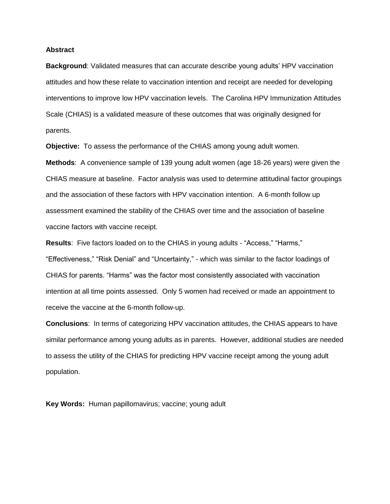### **Abstract**

**Background**: Validated measures that can accurate describe young adults' HPV vaccination attitudes and how these relate to vaccination intention and receipt are needed for developing interventions to improve low HPV vaccination levels. The Carolina HPV Immunization Attitudes Scale (CHIAS) is a validated measure of these outcomes that was originally designed for parents.

**Objective:** To assess the performance of the CHIAS among young adult women.

**Methods**: A convenience sample of 139 young adult women (age 18-26 years) were given the CHIAS measure at baseline. Factor analysis was used to determine attitudinal factor groupings and the association of these factors with HPV vaccination intention. A 6-month follow up assessment examined the stability of the CHIAS over time and the association of baseline vaccine factors with vaccine receipt.

**Results**: Five factors loaded on to the CHIAS in young adults - "Access," "Harms," "Effectiveness," "Risk Denial" and "Uncertainty," - which was similar to the factor loadings of CHIAS for parents. "Harms" was the factor most consistently associated with vaccination intention at all time points assessed. Only 5 women had received or made an appointment to receive the vaccine at the 6-month follow-up.

**Conclusions**: In terms of categorizing HPV vaccination attitudes, the CHIAS appears to have similar performance among young adults as in parents. However, additional studies are needed to assess the utility of the CHIAS for predicting HPV vaccine receipt among the young adult population.

**Key Words:** Human papillomavirus; vaccine; young adult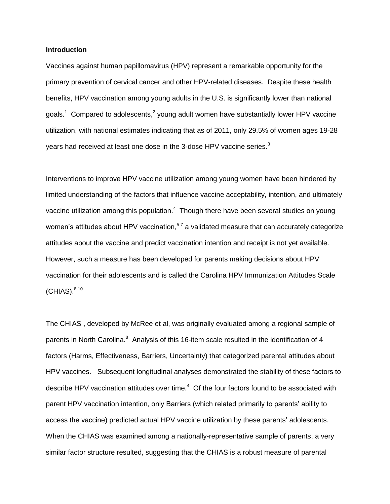## **Introduction**

Vaccines against human papillomavirus (HPV) represent a remarkable opportunity for the primary prevention of cervical cancer and other HPV-related diseases. Despite these health benefits, HPV vaccination among young adults in the U.S. is significantly lower than national goals.<sup>1</sup>Compared to adolescents,<sup>[2](#page-12-1)</sup> young adult women have substantially lower HPV vaccine utilization, with national estimates indicating that as of 2011, only 29.5% of women ages 19-28 years had received at least one dose in the [3](#page-12-2)-dose HPV vaccine series.<sup>3</sup>

Interventions to improve HPV vaccine utilization among young women have been hindered by limited understanding of the factors that influence vaccine acceptability, intention, and ultimately vaccine utilization among this population. $<sup>4</sup>$  $<sup>4</sup>$  $<sup>4</sup>$  Though there have been several studies on young</sup> women's attitudes about HPV vaccination,<sup>[5-7](#page-12-4)</sup> a validated measure that can accurately categorize attitudes about the vaccine and predict vaccination intention and receipt is not yet available. However, such a measure has been developed for parents making decisions about HPV vaccination for their adolescents and is called the Carolina HPV Immunization Attitudes Scale  $(CHIAS).<sup>8-10</sup>$  $(CHIAS).<sup>8-10</sup>$  $(CHIAS).<sup>8-10</sup>$ 

The CHIAS , developed by McRee et al, was originally evaluated among a regional sample of parents in North Carolina.<sup>[8](#page-12-5)</sup> Analysis of this 16-item scale resulted in the identification of 4 factors (Harms, Effectiveness, Barriers, Uncertainty) that categorized parental attitudes about HPV vaccines. Subsequent longitudinal analyses demonstrated the stability of these factors to describe HPV vaccination attitudes over time[.](#page-12-3) $4$  Of the four factors found to be associated with parent HPV vaccination intention, only Barriers (which related primarily to parents' ability to access the vaccine) predicted actual HPV vaccine utilization by these parents' adolescents. When the CHIAS was examined among a nationally-representative sample of parents, a very similar factor structure resulted, suggesting that the CHIAS is a robust measure of parental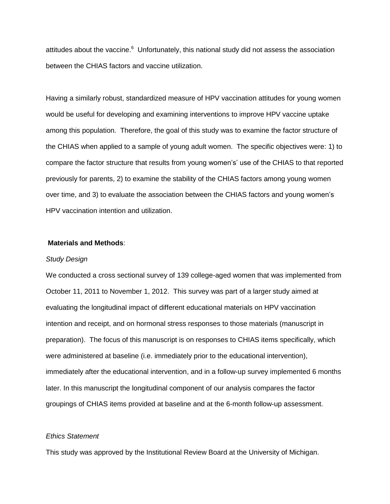attitudes about the vaccine.<sup>[6](#page-12-6)</sup> Unfortunately, this national study did not assess the association between the CHIAS factors and vaccine utilization.

Having a similarly robust, standardized measure of HPV vaccination attitudes for young women would be useful for developing and examining interventions to improve HPV vaccine uptake among this population. Therefore, the goal of this study was to examine the factor structure of the CHIAS when applied to a sample of young adult women. The specific objectives were: 1) to compare the factor structure that results from young women's' use of the CHIAS to that reported previously for parents, 2) to examine the stability of the CHIAS factors among young women over time, and 3) to evaluate the association between the CHIAS factors and young women's HPV vaccination intention and utilization.

# **Materials and Methods**:

### *Study Design*

We conducted a cross sectional survey of 139 college-aged women that was implemented from October 11, 2011 to November 1, 2012. This survey was part of a larger study aimed at evaluating the longitudinal impact of different educational materials on HPV vaccination intention and receipt, and on hormonal stress responses to those materials (manuscript in preparation). The focus of this manuscript is on responses to CHIAS items specifically, which were administered at baseline (i.e. immediately prior to the educational intervention), immediately after the educational intervention, and in a follow-up survey implemented 6 months later. In this manuscript the longitudinal component of our analysis compares the factor groupings of CHIAS items provided at baseline and at the 6-month follow-up assessment.

# *Ethics Statement*

This study was approved by the Institutional Review Board at the University of Michigan.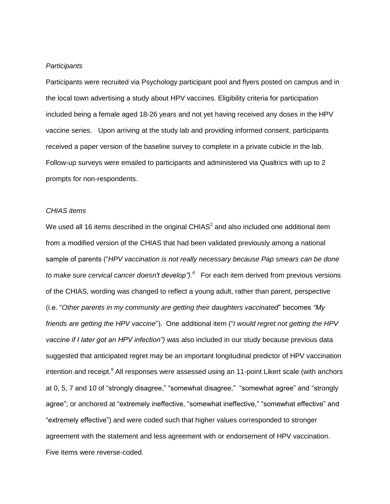### *Participants*

Participants were recruited via Psychology participant pool and flyers posted on campus and in the local town advertising a study about HPV vaccines. Eligibility criteria for participation included being a female aged 18-26 years and not yet having received any doses in the HPV vaccine series. Upon arriving at the study lab and providing informed consent, participants received a paper version of the baseline survey to complete in a private cubicle in the lab. Follow-up surveys were emailed to participants and administered via Qualtrics with up to 2 prompts for non-respondents.

### *CHIAS items*

We used all 16 items described in the original CHIAS<sup>[2](#page-12-1)</sup> and also included one additional item from a modified version of the CHIAS that had been validated previously among a national sample of parents ("*HPV vaccination is not really necessary because Pap smears can be done to make sure cervical cancer doesn't develop").[6](#page-12-6)* For each item derived from previous versions of the CHIAS, wording was changed to reflect a young adult, rather than parent, perspective (i.e. "*Other parents in my community are getting their daughters vaccinated*" becomes *"My friends are getting the HPV vaccine*"). One additional item ("*I would regret not getting the HPV vaccine if I later got an HPV infection")* was also included in our study because previous data suggested that anticipated regret may be an important longitudinal predictor of HPV vaccination intention and receipt.<sup>[9](#page-12-7)</sup> All responses were assessed using an 11-point Likert scale (with anchors at 0, 5, 7 and 10 of "strongly disagree," "somewhat disagree," "somewhat agree" and "strongly agree"; or anchored at "extremely ineffective, "somewhat ineffective," "somewhat effective" and "extremely effective") and were coded such that higher values corresponded to stronger agreement with the statement and less agreement with or endorsement of HPV vaccination. Five items were reverse-coded.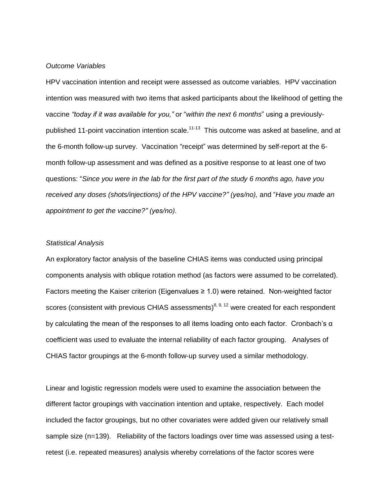# *Outcome Variables*

HPV vaccination intention and receipt were assessed as outcome variables. HPV vaccination intention was measured with two items that asked participants about the likelihood of getting the vaccine *"today if it was available for you,"* or "*within the next 6 months*" using a previously-published 11-point vaccination intention scale.<sup>[11-13](#page-13-0)</sup> This outcome was asked at baseline, and at the 6-month follow-up survey. Vaccination "receipt" was determined by self-report at the 6 month follow-up assessment and was defined as a positive response to at least one of two questions: "*Since you were in the lab for the first part of the study 6 months ago, have you*  received any doses (shots/injections) of the HPV vaccine?" (yes/no), and "Have you made an *appointment to get the vaccine?" (yes/no).*

### *Statistical Analysis*

An exploratory factor analysis of the baseline CHIAS items was conducted using principal components analysis with oblique rotation method (as factors were assumed to be correlated). Factors meeting the Kaiser criterion (Eigenvalues ≥ 1.0) were retained. Non-weighted factor scores (consistent with previous CHIAS assessments)<sup>[8,](#page-12-5) [9,](#page-12-7) [12](#page-13-1)</sup> were created for each respondent by calculating the mean of the responses to all items loading onto each factor. Cronbach's  $\alpha$ coefficient was used to evaluate the internal reliability of each factor grouping. Analyses of CHIAS factor groupings at the 6-month follow-up survey used a similar methodology.

Linear and logistic regression models were used to examine the association between the different factor groupings with vaccination intention and uptake, respectively. Each model included the factor groupings, but no other covariates were added given our relatively small sample size (n=139). Reliability of the factors loadings over time was assessed using a testretest (i.e. repeated measures) analysis whereby correlations of the factor scores were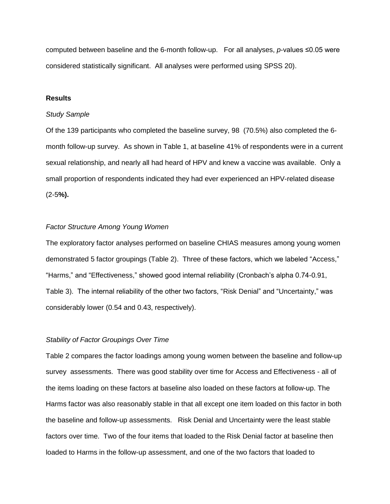computed between baseline and the 6-month follow-up. For all analyses, *p*-values ≤0.05 were considered statistically significant. All analyses were performed using SPSS 20).

# **Results**

#### *Study Sample*

Of the 139 participants who completed the baseline survey, 98 (70.5%) also completed the 6 month follow-up survey. As shown in Table 1, at baseline 41% of respondents were in a current sexual relationship, and nearly all had heard of HPV and knew a vaccine was available. Only a small proportion of respondents indicated they had ever experienced an HPV-related disease (2-5**%).**

# *Factor Structure Among Young Women*

The exploratory factor analyses performed on baseline CHIAS measures among young women demonstrated 5 factor groupings (Table 2). Three of these factors, which we labeled "Access," "Harms," and "Effectiveness," showed good internal reliability (Cronbach's alpha 0.74-0.91, Table 3). The internal reliability of the other two factors, "Risk Denial" and "Uncertainty," was considerably lower (0.54 and 0.43, respectively).

# *Stability of Factor Groupings Over Time*

Table 2 compares the factor loadings among young women between the baseline and follow-up survey assessments. There was good stability over time for Access and Effectiveness - all of the items loading on these factors at baseline also loaded on these factors at follow-up. The Harms factor was also reasonably stable in that all except one item loaded on this factor in both the baseline and follow-up assessments. Risk Denial and Uncertainty were the least stable factors over time. Two of the four items that loaded to the Risk Denial factor at baseline then loaded to Harms in the follow-up assessment, and one of the two factors that loaded to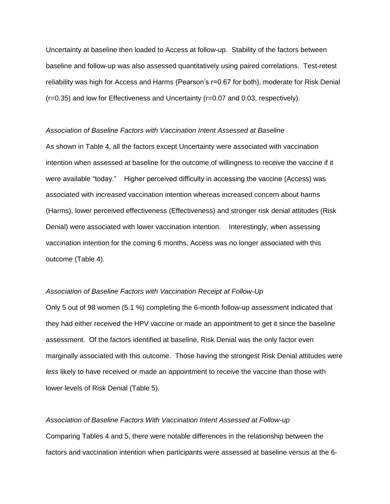Uncertainty at baseline then loaded to Access at follow-up. Stability of the factors between baseline and follow-up was also assessed quantitatively using paired correlations. Test-retest reliability was high for Access and Harms (Pearson's r=0.67 for both), moderate for Risk Denial (r=0.35) and low for Effectiveness and Uncertainty (r=0.07 and 0.03, respectively).

### *Association of Baseline Factors with Vaccination Intent Assessed at Baseline*

As shown in Table 4, all the factors except Uncertainty were associated with vaccination intention when assessed at baseline for the outcome of willingness to receive the vaccine if it were available "today." Higher perceived difficulty in accessing the vaccine (Access) was associated with *increased* vaccination intention whereas increased concern about harms (Harms), lower perceived effectiveness (Effectiveness) and stronger risk denial attitudes (Risk Denial) were associated with lower vaccination intention. Interestingly, when assessing vaccination intention for the coming 6 months, Access was no longer associated with this outcome (Table 4).

# *Association of Baseline Factors with Vaccination Receipt at Follow-Up*

Only 5 out of 98 women (5.1 %) completing the 6-month follow-up assessment indicated that they had either received the HPV vaccine or made an appointment to get it since the baseline assessment. Of the factors identified at baseline, Risk Denial was the only factor even marginally associated with this outcome. Those having the strongest Risk Denial attitudes were *less* likely to have received or made an appointment to receive the vaccine than those with lower levels of Risk Denial (Table 5).

### *Association of Baseline Factors With Vaccination Intent Assessed at Follow-up*

Comparing Tables 4 and 5, there were notable differences in the relationship between the factors and vaccination intention when participants were assessed at baseline versus at the 6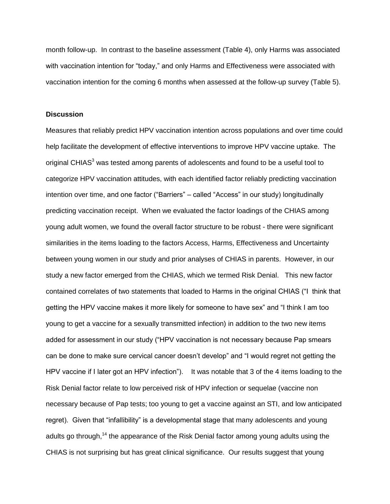month follow-up. In contrast to the baseline assessment (Table 4), only Harms was associated with vaccination intention for "today," and only Harms and Effectiveness were associated with vaccination intention for the coming 6 months when assessed at the follow-up survey (Table 5).

# **Discussion**

Measures that reliably predict HPV vaccination intention across populations and over time could help facilitate the development of effective interventions to improve HPV vaccine uptake. The original CHIAS<sup>[3](#page-12-2)</sup> was tested among parents of adolescents and found to be a useful tool to categorize HPV vaccination attitudes, with each identified factor reliably predicting vaccination intention over time, and one factor ("Barriers" – called "Access" in our study) longitudinally predicting vaccination receipt. When we evaluated the factor loadings of the CHIAS among young adult women, we found the overall factor structure to be robust - there were significant similarities in the items loading to the factors Access, Harms, Effectiveness and Uncertainty between young women in our study and prior analyses of CHIAS in parents. However, in our study a new factor emerged from the CHIAS, which we termed Risk Denial. This new factor contained correlates of two statements that loaded to Harms in the original CHIAS ("I think that getting the HPV vaccine makes it more likely for someone to have sex" and "I think I am too young to get a vaccine for a sexually transmitted infection) in addition to the two new items added for assessment in our study ("HPV vaccination is not necessary because Pap smears can be done to make sure cervical cancer doesn't develop" and "I would regret not getting the HPV vaccine if I later got an HPV infection"). It was notable that 3 of the 4 items loading to the Risk Denial factor relate to low perceived risk of HPV infection or sequelae (vaccine non necessary because of Pap tests; too young to get a vaccine against an STI, and low anticipated regret). Given that "infallibility" is a developmental stage that many adolescents and young adults go through,<sup>[14](#page-13-2)</sup> the appearance of the Risk Denial factor among young adults using the CHIAS is not surprising but has great clinical significance. Our results suggest that young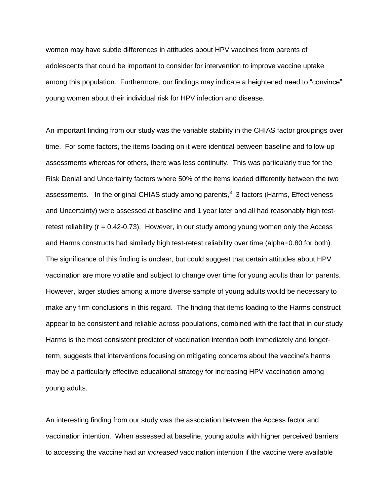women may have subtle differences in attitudes about HPV vaccines from parents of adolescents that could be important to consider for intervention to improve vaccine uptake among this population. Furthermore, our findings may indicate a heightened need to "convince" young women about their individual risk for HPV infection and disease.

An important finding from our study was the variable stability in the CHIAS factor groupings over time. For some factors, the items loading on it were identical between baseline and follow-up assessments whereas for others, there was less continuity. This was particularly true for the Risk Denial and Uncertainty factors where 50% of the items loaded differently between the two assessments. In the original CHIAS study among parents,<sup>8</sup> 3 factors (Harms, Effectiveness and Uncertainty) were assessed at baseline and 1 year later and all had reasonably high testretest reliability  $(r = 0.42 - 0.73)$ . However, in our study among young women only the Access and Harms constructs had similarly high test-retest reliability over time (alpha=0.80 for both). The significance of this finding is unclear, but could suggest that certain attitudes about HPV vaccination are more volatile and subject to change over time for young adults than for parents. However, larger studies among a more diverse sample of young adults would be necessary to make any firm conclusions in this regard. The finding that items loading to the Harms construct appear to be consistent and reliable across populations, combined with the fact that in our study Harms is the most consistent predictor of vaccination intention both immediately and longerterm, suggests that interventions focusing on mitigating concerns about the vaccine's harms may be a particularly effective educational strategy for increasing HPV vaccination among young adults.

An interesting finding from our study was the association between the Access factor and vaccination intention. When assessed at baseline, young adults with higher perceived barriers to accessing the vaccine had an *increased* vaccination intention if the vaccine were available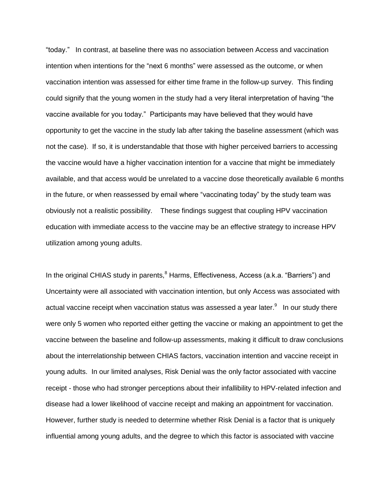"today." In contrast, at baseline there was no association between Access and vaccination intention when intentions for the "next 6 months" were assessed as the outcome, or when vaccination intention was assessed for either time frame in the follow-up survey. This finding could signify that the young women in the study had a very literal interpretation of having "the vaccine available for you today." Participants may have believed that they would have opportunity to get the vaccine in the study lab after taking the baseline assessment (which was not the case). If so, it is understandable that those with higher perceived barriers to accessing the vaccine would have a higher vaccination intention for a vaccine that might be immediately available, and that access would be unrelated to a vaccine dose theoretically available 6 months in the future, or when reassessed by email where "vaccinating today" by the study team was obviously not a realistic possibility. These findings suggest that coupling HPV vaccination education with immediate access to the vaccine may be an effective strategy to increase HPV utilization among young adults.

In the original CHIAS study in parents[,](#page-12-5) $8$  Harms, Effectiveness, Access (a.k.a. "Barriers") and Uncertainty were all associated with vaccination intention, but only Access was associated with actual vaccine receipt when vaccination status was assessed a year later. $^9$  $^9$  In our study there were only 5 women who reported either getting the vaccine or making an appointment to get the vaccine between the baseline and follow-up assessments, making it difficult to draw conclusions about the interrelationship between CHIAS factors, vaccination intention and vaccine receipt in young adults. In our limited analyses, Risk Denial was the only factor associated with vaccine receipt - those who had stronger perceptions about their infallibility to HPV-related infection and disease had a lower likelihood of vaccine receipt and making an appointment for vaccination. However, further study is needed to determine whether Risk Denial is a factor that is uniquely influential among young adults, and the degree to which this factor is associated with vaccine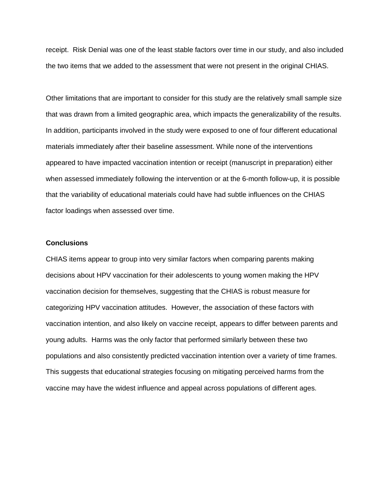receipt. Risk Denial was one of the least stable factors over time in our study, and also included the two items that we added to the assessment that were not present in the original CHIAS.

Other limitations that are important to consider for this study are the relatively small sample size that was drawn from a limited geographic area, which impacts the generalizability of the results. In addition, participants involved in the study were exposed to one of four different educational materials immediately after their baseline assessment. While none of the interventions appeared to have impacted vaccination intention or receipt (manuscript in preparation) either when assessed immediately following the intervention or at the 6-month follow-up, it is possible that the variability of educational materials could have had subtle influences on the CHIAS factor loadings when assessed over time.

# **Conclusions**

CHIAS items appear to group into very similar factors when comparing parents making decisions about HPV vaccination for their adolescents to young women making the HPV vaccination decision for themselves, suggesting that the CHIAS is robust measure for categorizing HPV vaccination attitudes. However, the association of these factors with vaccination intention, and also likely on vaccine receipt, appears to differ between parents and young adults. Harms was the only factor that performed similarly between these two populations and also consistently predicted vaccination intention over a variety of time frames. This suggests that educational strategies focusing on mitigating perceived harms from the vaccine may have the widest influence and appeal across populations of different ages.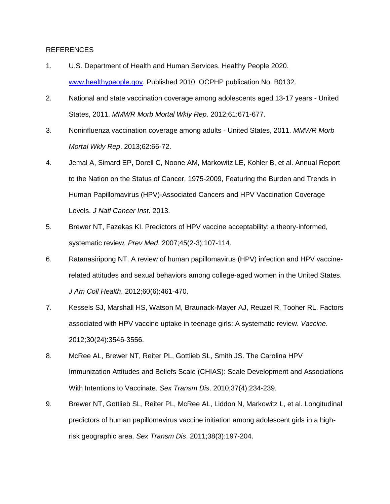### REFERENCES

- <span id="page-12-0"></span>1. U.S. Department of Health and Human Services. Healthy People 2020. [www.healthypeople.gov.](http://www.healthypeople.gov/) Published 2010. OCPHP publication No. B0132.
- <span id="page-12-1"></span>2. National and state vaccination coverage among adolescents aged 13-17 years - United States, 2011. *MMWR Morb Mortal Wkly Rep*. 2012;61:671-677.
- <span id="page-12-2"></span>3. Noninfluenza vaccination coverage among adults - United States, 2011. *MMWR Morb Mortal Wkly Rep*. 2013;62:66-72.
- <span id="page-12-3"></span>4. Jemal A, Simard EP, Dorell C, Noone AM, Markowitz LE, Kohler B, et al. Annual Report to the Nation on the Status of Cancer, 1975-2009, Featuring the Burden and Trends in Human Papillomavirus (HPV)-Associated Cancers and HPV Vaccination Coverage Levels. *J Natl Cancer Inst*. 2013.
- <span id="page-12-4"></span>5. Brewer NT, Fazekas KI. Predictors of HPV vaccine acceptability: a theory-informed, systematic review. *Prev Med*. 2007;45(2-3):107-114.
- <span id="page-12-6"></span>6. Ratanasiripong NT. A review of human papillomavirus (HPV) infection and HPV vaccinerelated attitudes and sexual behaviors among college-aged women in the United States. *J Am Coll Health*. 2012;60(6):461-470.
- 7. Kessels SJ, Marshall HS, Watson M, Braunack-Mayer AJ, Reuzel R, Tooher RL. Factors associated with HPV vaccine uptake in teenage girls: A systematic review. *Vaccine*. 2012;30(24):3546-3556.
- <span id="page-12-5"></span>8. McRee AL, Brewer NT, Reiter PL, Gottlieb SL, Smith JS. The Carolina HPV Immunization Attitudes and Beliefs Scale (CHIAS): Scale Development and Associations With Intentions to Vaccinate. *Sex Transm Dis*. 2010;37(4):234-239.
- <span id="page-12-7"></span>9. Brewer NT, Gottlieb SL, Reiter PL, McRee AL, Liddon N, Markowitz L, et al. Longitudinal predictors of human papillomavirus vaccine initiation among adolescent girls in a highrisk geographic area. *Sex Transm Dis*. 2011;38(3):197-204.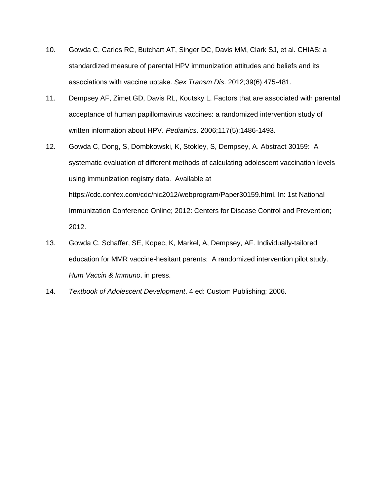- 10. Gowda C, Carlos RC, Butchart AT, Singer DC, Davis MM, Clark SJ, et al. CHIAS: a standardized measure of parental HPV immunization attitudes and beliefs and its associations with vaccine uptake. *Sex Transm Dis*. 2012;39(6):475-481.
- <span id="page-13-0"></span>11. Dempsey AF, Zimet GD, Davis RL, Koutsky L. Factors that are associated with parental acceptance of human papillomavirus vaccines: a randomized intervention study of written information about HPV. *Pediatrics*. 2006;117(5):1486-1493.
- <span id="page-13-1"></span>12. Gowda C, Dong, S, Dombkowski, K, Stokley, S, Dempsey, A. Abstract 30159: A systematic evaluation of different methods of calculating adolescent vaccination levels using immunization registry data. Available at https://cdc.confex.com/cdc/nic2012/webprogram/Paper30159.html. In: 1st National Immunization Conference Online; 2012: Centers for Disease Control and Prevention; 2012.
- 13. Gowda C, Schaffer, SE, Kopec, K, Markel, A, Dempsey, AF. Individually-tailored education for MMR vaccine-hesitant parents: A randomized intervention pilot study. *Hum Vaccin & Immuno*. in press.
- <span id="page-13-2"></span>14. *Textbook of Adolescent Development*. 4 ed: Custom Publishing; 2006.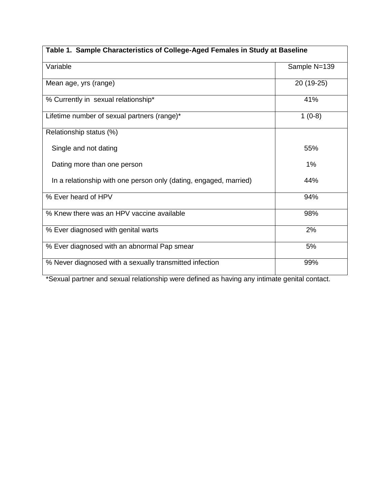| Table 1. Sample Characteristics of College-Aged Females in Study at Baseline |              |  |  |  |
|------------------------------------------------------------------------------|--------------|--|--|--|
| Variable                                                                     | Sample N=139 |  |  |  |
| Mean age, yrs (range)                                                        | 20 (19-25)   |  |  |  |
| % Currently in sexual relationship*                                          | 41%          |  |  |  |
| Lifetime number of sexual partners (range)*                                  | $1(0-8)$     |  |  |  |
| Relationship status (%)                                                      |              |  |  |  |
| Single and not dating                                                        | 55%          |  |  |  |
| Dating more than one person                                                  | 1%           |  |  |  |
| In a relationship with one person only (dating, engaged, married)            | 44%          |  |  |  |
| % Ever heard of HPV                                                          | 94%          |  |  |  |
| % Knew there was an HPV vaccine available                                    | 98%          |  |  |  |
| % Ever diagnosed with genital warts                                          | 2%           |  |  |  |
| % Ever diagnosed with an abnormal Pap smear                                  | 5%           |  |  |  |
| % Never diagnosed with a sexually transmitted infection                      | 99%          |  |  |  |

\*Sexual partner and sexual relationship were defined as having any intimate genital contact.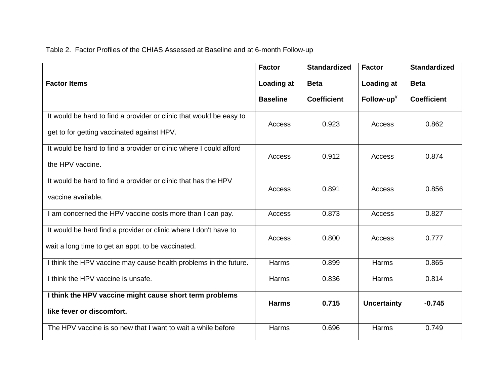Table 2. Factor Profiles of the CHIAS Assessed at Baseline and at 6-month Follow-up

|                                                                                                                        | <b>Factor</b>   | <b>Standardized</b> | <b>Factor</b>      | <b>Standardized</b> |
|------------------------------------------------------------------------------------------------------------------------|-----------------|---------------------|--------------------|---------------------|
| <b>Factor Items</b>                                                                                                    | Loading at      | <b>Beta</b>         | Loading at         | <b>Beta</b>         |
|                                                                                                                        | <b>Baseline</b> | <b>Coefficient</b>  | Follow-up $*$      | <b>Coefficient</b>  |
| It would be hard to find a provider or clinic that would be easy to<br>get to for getting vaccinated against HPV.      | Access          | 0.923               | Access             | 0.862               |
| It would be hard to find a provider or clinic where I could afford<br>the HPV vaccine.                                 | Access          | 0.912               | Access             | 0.874               |
| It would be hard to find a provider or clinic that has the HPV<br>vaccine available.                                   | Access          | 0.891               | Access             | 0.856               |
| I am concerned the HPV vaccine costs more than I can pay.                                                              | Access          | 0.873               | Access             | 0.827               |
| It would be hard find a provider or clinic where I don't have to<br>wait a long time to get an appt. to be vaccinated. | Access          | 0.800               | Access             | 0.777               |
| I think the HPV vaccine may cause health problems in the future.                                                       | Harms           | 0.899               | Harms              | 0.865               |
| I think the HPV vaccine is unsafe.                                                                                     | Harms           | 0.836               | Harms              | 0.814               |
| I think the HPV vaccine might cause short term problems<br>like fever or discomfort.                                   | <b>Harms</b>    | 0.715               | <b>Uncertainty</b> | $-0.745$            |
| The HPV vaccine is so new that I want to wait a while before                                                           | Harms           | 0.696               | Harms              | 0.749               |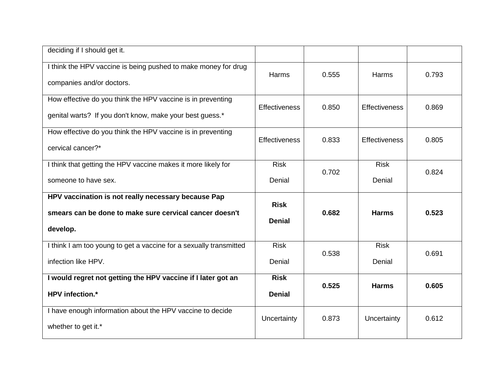| deciding if I should get it.                                                                                               |                              |       |                      |       |
|----------------------------------------------------------------------------------------------------------------------------|------------------------------|-------|----------------------|-------|
| I think the HPV vaccine is being pushed to make money for drug<br>companies and/or doctors.                                | Harms                        | 0.555 | Harms                | 0.793 |
| How effective do you think the HPV vaccine is in preventing<br>genital warts? If you don't know, make your best guess.*    | <b>Effectiveness</b>         | 0.850 | <b>Effectiveness</b> | 0.869 |
| How effective do you think the HPV vaccine is in preventing<br>cervical cancer?*                                           | <b>Effectiveness</b>         | 0.833 | <b>Effectiveness</b> | 0.805 |
| I think that getting the HPV vaccine makes it more likely for                                                              | <b>Risk</b>                  | 0.702 | <b>Risk</b>          | 0.824 |
| someone to have sex.                                                                                                       | Denial                       |       | Denial               |       |
|                                                                                                                            |                              |       |                      |       |
| HPV vaccination is not really necessary because Pap<br>smears can be done to make sure cervical cancer doesn't<br>develop. | <b>Risk</b><br><b>Denial</b> | 0.682 | <b>Harms</b>         | 0.523 |
| I think I am too young to get a vaccine for a sexually transmitted                                                         | <b>Risk</b>                  |       | <b>Risk</b>          |       |
| infection like HPV.                                                                                                        | Denial                       | 0.538 | Denial               | 0.691 |
| I would regret not getting the HPV vaccine if I later got an                                                               | <b>Risk</b>                  |       |                      |       |
| <b>HPV</b> infection.*                                                                                                     | <b>Denial</b>                | 0.525 | <b>Harms</b>         | 0.605 |
| I have enough information about the HPV vaccine to decide<br>whether to get it.*                                           | Uncertainty                  | 0.873 | Uncertainty          | 0.612 |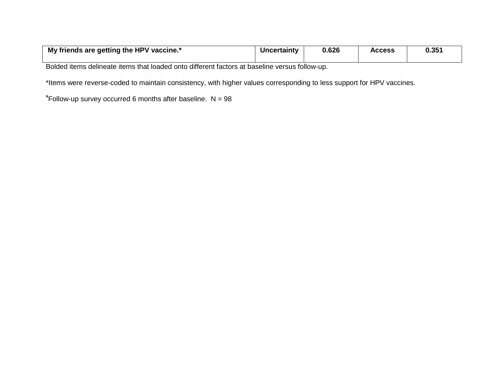| My friends are getting the HPV vaccine.* | <b>Uncertainty</b> | 0.626 | <b>Access</b> | 0.35' |
|------------------------------------------|--------------------|-------|---------------|-------|
|                                          |                    |       |               |       |

Bolded items delineate items that loaded onto different factors at baseline versus follow-up.

\*Items were reverse-coded to maintain consistency, with higher values corresponding to less support for HPV vaccines.

 $*$ Follow-up survey occurred 6 months after baseline. N = 98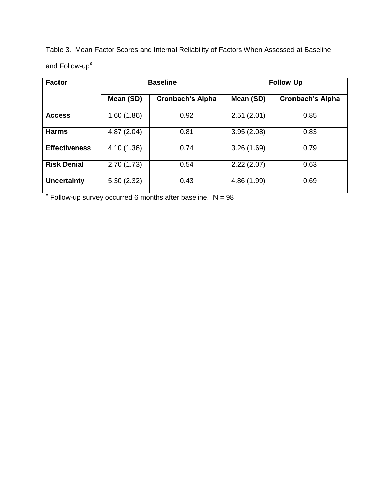Table 3. Mean Factor Scores and Internal Reliability of Factors When Assessed at Baseline and Follow-up<sup>¥</sup>

| <b>Factor</b>        | <b>Baseline</b> |                         | <b>Follow Up</b> |                         |
|----------------------|-----------------|-------------------------|------------------|-------------------------|
|                      | Mean (SD)       | <b>Cronbach's Alpha</b> | Mean (SD)        | <b>Cronbach's Alpha</b> |
| <b>Access</b>        | 1.60(1.86)      | 0.92                    | 2.51(2.01)       | 0.85                    |
| <b>Harms</b>         | 4.87(2.04)      | 0.81                    | 3.95(2.08)       | 0.83                    |
| <b>Effectiveness</b> | 4.10 (1.36)     | 0.74                    | 3.26(1.69)       | 0.79                    |
| <b>Risk Denial</b>   | 2.70(1.73)      | 0.54                    | 2.22(2.07)       | 0.63                    |
| <b>Uncertainty</b>   | 5.30(2.32)      | 0.43                    | 4.86 (1.99)      | 0.69                    |

¥ Follow-up survey occurred 6 months after baseline. N = 98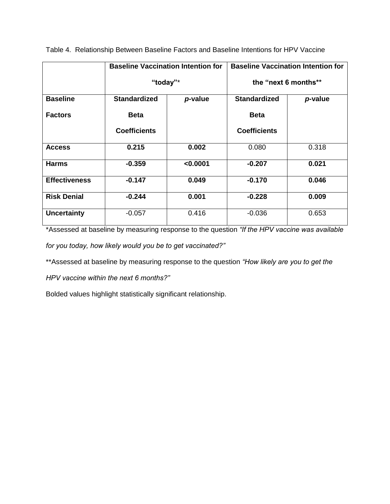|                      |                     | <b>Baseline Vaccination Intention for</b> | <b>Baseline Vaccination Intention for</b> |                      |  |  |
|----------------------|---------------------|-------------------------------------------|-------------------------------------------|----------------------|--|--|
|                      |                     | "today"*                                  |                                           | the "next 6 months** |  |  |
| <b>Baseline</b>      | <b>Standardized</b> | p-value                                   | <b>Standardized</b>                       | p-value              |  |  |
| <b>Factors</b>       | <b>Beta</b>         |                                           | <b>Beta</b>                               |                      |  |  |
|                      | <b>Coefficients</b> |                                           | <b>Coefficients</b>                       |                      |  |  |
| <b>Access</b>        | 0.215               | 0.002                                     | 0.080                                     | 0.318                |  |  |
| <b>Harms</b>         | $-0.359$            | < 0.0001                                  | $-0.207$                                  | 0.021                |  |  |
| <b>Effectiveness</b> | $-0.147$            | 0.049                                     | $-0.170$                                  | 0.046                |  |  |
| <b>Risk Denial</b>   | $-0.244$            | 0.001                                     | $-0.228$                                  | 0.009                |  |  |
| <b>Uncertainty</b>   | $-0.057$            | 0.416                                     | $-0.036$                                  | 0.653                |  |  |

Table 4. Relationship Between Baseline Factors and Baseline Intentions for HPV Vaccine

\*Assessed at baseline by measuring response to the question *"If the HPV vaccine was available for you today, how likely would you be to get vaccinated?"*

\*\*Assessed at baseline by measuring response to the question *"How likely are you to get the* 

*HPV vaccine within the next 6 months?"*

Bolded values highlight statistically significant relationship.